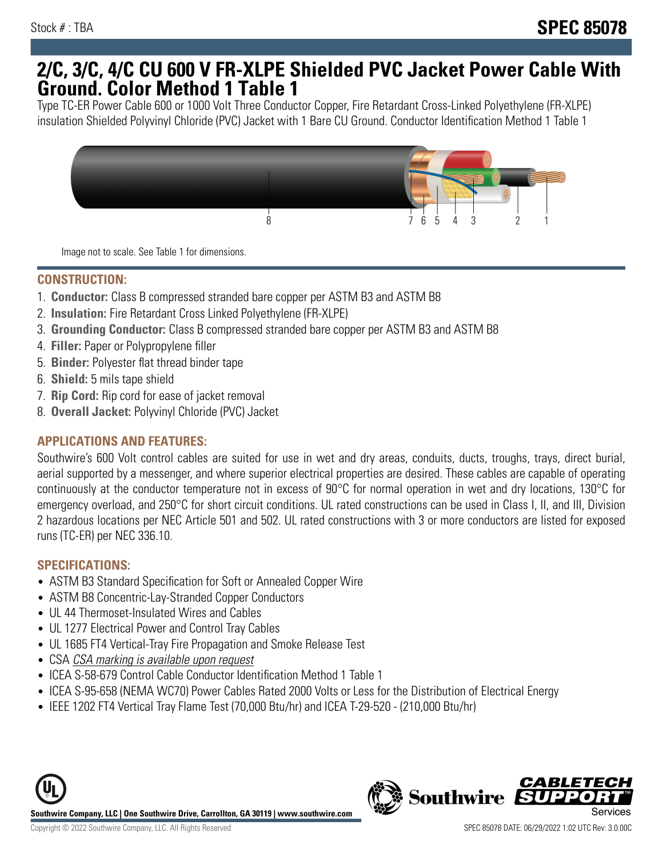## **2/C, 3/C, 4/C CU 600 V FR-XLPE Shielded PVC Jacket Power Cable With Ground. Color Method 1 Table 1**

Type TC-ER Power Cable 600 or 1000 Volt Three Conductor Copper, Fire Retardant Cross-Linked Polyethylene (FR-XLPE) insulation Shielded Polyvinyl Chloride (PVC) Jacket with 1 Bare CU Ground. Conductor Identification Method 1 Table 1



Image not to scale. See Table 1 for dimensions.

#### **CONSTRUCTION:**

- 1. **Conductor:** Class B compressed stranded bare copper per ASTM B3 and ASTM B8
- 2. **Insulation:** Fire Retardant Cross Linked Polyethylene (FR-XLPE)
- 3. **Grounding Conductor:** Class B compressed stranded bare copper per ASTM B3 and ASTM B8
- 4. **Filler:** Paper or Polypropylene filler
- 5. **Binder:** Polyester flat thread binder tape
- 6. **Shield:** 5 mils tape shield
- 7. **Rip Cord:** Rip cord for ease of jacket removal
- 8. **Overall Jacket:** Polyvinyl Chloride (PVC) Jacket

### **APPLICATIONS AND FEATURES:**

Southwire's 600 Volt control cables are suited for use in wet and dry areas, conduits, ducts, troughs, trays, direct burial, aerial supported by a messenger, and where superior electrical properties are desired. These cables are capable of operating continuously at the conductor temperature not in excess of 90°C for normal operation in wet and dry locations, 130°C for emergency overload, and 250°C for short circuit conditions. UL rated constructions can be used in Class I, II, and III, Division 2 hazardous locations per NEC Article 501 and 502. UL rated constructions with 3 or more conductors are listed for exposed runs (TC-ER) per NEC 336.10.

#### **SPECIFICATIONS:**

- ASTM B3 Standard Specification for Soft or Annealed Copper Wire
- ASTM B8 Concentric-Lay-Stranded Copper Conductors
- UL 44 Thermoset-Insulated Wires and Cables
- UL 1277 Electrical Power and Control Tray Cables
- UL 1685 FT4 Vertical-Tray Fire Propagation and Smoke Release Test
- CSA CSA marking is available upon request
- ICEA S-58-679 Control Cable Conductor Identification Method 1 Table 1
- ICEA S-95-658 (NEMA WC70) Power Cables Rated 2000 Volts or Less for the Distribution of Electrical Energy
- IEEE 1202 FT4 Vertical Tray Flame Test (70,000 Btu/hr) and ICEA T-29-520 (210,000 Btu/hr)



*CABLET*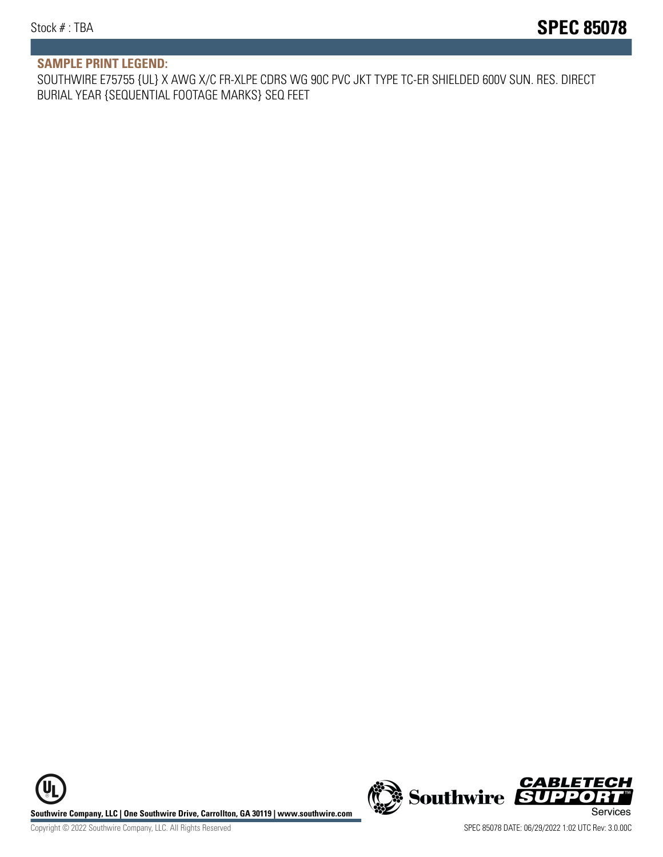#### **SAMPLE PRINT LEGEND:**

SOUTHWIRE E75755 {UL} X AWG X/C FR-XLPE CDRS WG 90C PVC JKT TYPE TC-ER SHIELDED 600V SUN. RES. DIRECT BURIAL YEAR {SEQUENTIAL FOOTAGE MARKS} SEQ FEET

**U Southwire Company, LLC | One Southwire Drive, Carrollton, GA 30119 | www.southwire.com (New Southwire SUPPORTI**